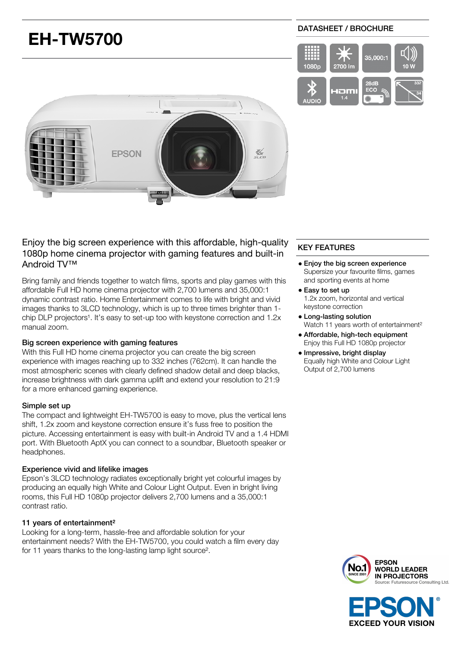# **EH-TW5700**

# DATASHEET / BROCHURE





# Enjoy the big screen experience with this affordable, high-quality 1080p home cinema projector with gaming features and built-in Android TV™

Bring family and friends together to watch films, sports and play games with this affordable Full HD home cinema projector with 2,700 lumens and 35,000:1 dynamic contrast ratio. Home Entertainment comes to life with bright and vivid images thanks to 3LCD technology, which is up to three times brighter than 1 chip DLP projectors<sup>1</sup>. It's easy to set-up too with keystone correction and  $1.2x$ manual zoom.

# Big screen experience with gaming features

With this Full HD home cinema projector you can create the big screen experience with images reaching up to 332 inches (762cm). It can handle the most atmospheric scenes with clearly defined shadow detail and deep blacks, increase brightness with dark gamma uplift and extend your resolution to 21:9 for a more enhanced gaming experience.

## Simple set up

The compact and lightweight EH-TW5700 is easy to move, plus the vertical lens shift, 1.2x zoom and keystone correction ensure it's fuss free to position the picture. Accessing entertainment is easy with built-in Android TV and a 1.4 HDMI port. With Bluetooth AptX you can connect to a soundbar, Bluetooth speaker or headphones.

## Experience vivid and lifelike images

Epson's 3LCD technology radiates exceptionally bright yet colourful images by producing an equally high White and Colour Light Output. Even in bright living rooms, this Full HD 1080p projector delivers 2,700 lumens and a 35,000:1 contrast ratio.

## 11 years of entertainment²

Looking for a long-term, hassle-free and affordable solution for your entertainment needs? With the EH-TW5700, you could watch a film every day for 11 years thanks to the long-lasting lamp light source².

# KEY FEATURES

- Enjoy the big screen experience Supersize your favourite films, games and sporting events at home
- Easy to set up 1.2x zoom, horizontal and vertical keystone correction
- Long-lasting solution Watch 11 years worth of entertainment²
- Affordable, high-tech equipment Enjoy this Full HD 1080p projector
- · Impressive, bright display Equally high White and Colour Light Output of 2,700 lumens



**EXCEED YOUR VISION**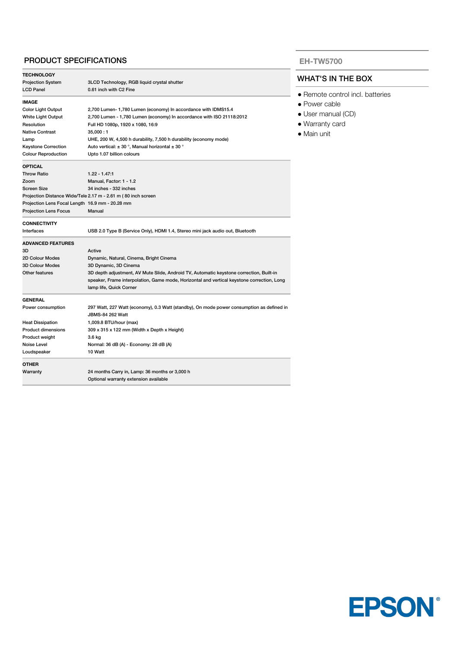# PRODUCT SPECIFICATIONS

| <b>TECHNOLOGY</b>                                                       |                                                                                            |  |
|-------------------------------------------------------------------------|--------------------------------------------------------------------------------------------|--|
| <b>Projection System</b><br>3LCD Technology, RGB liquid crystal shutter |                                                                                            |  |
| <b>LCD Panel</b>                                                        | 0.61 inch with C2 Fine                                                                     |  |
| <b>IMAGE</b>                                                            |                                                                                            |  |
| <b>Color Light Output</b>                                               | 2,700 Lumen- 1,780 Lumen (economy) In accordance with IDMS15.4                             |  |
| White Light Output                                                      | 2,700 Lumen - 1,780 Lumen (economy) In accordance with ISO 21118:2012                      |  |
| Resolution                                                              | Full HD 1080p, 1920 x 1080, 16:9                                                           |  |
| <b>Native Contrast</b>                                                  | 35,000:1                                                                                   |  |
| Lamp                                                                    | UHE, 200 W, 4,500 h durability, 7,500 h durability (economy mode)                          |  |
| <b>Keystone Correction</b>                                              | Auto vertical: $\pm$ 30 °, Manual horizontal $\pm$ 30 °                                    |  |
| <b>Colour Reproduction</b>                                              | Upto 1.07 billion colours                                                                  |  |
| <b>OPTICAL</b>                                                          |                                                                                            |  |
| <b>Throw Ratio</b>                                                      | $1.22 - 1.47.1$                                                                            |  |
| Zoom                                                                    | Manual, Factor: 1 - 1.2                                                                    |  |
| Screen Size                                                             | 34 inches - 332 inches                                                                     |  |
|                                                                         | Projection Distance Wide/Tele 2.17 m - 2.61 m (80 inch screen                              |  |
| Projection Lens Focal Length 16.9 mm - 20.28 mm                         |                                                                                            |  |
| <b>Projection Lens Focus</b>                                            | Manual                                                                                     |  |
| <b>CONNECTIVITY</b>                                                     |                                                                                            |  |
| Interfaces                                                              | USB 2.0 Type B (Service Only), HDMI 1.4, Stereo mini jack audio out, Bluetooth             |  |
| <b>ADVANCED FEATURES</b>                                                |                                                                                            |  |
| 3D                                                                      | Active                                                                                     |  |
| 2D Colour Modes                                                         | Dynamic, Natural, Cinema, Bright Cinema                                                    |  |
| 3D Colour Modes                                                         | 3D Dynamic, 3D Cinema                                                                      |  |
| Other features                                                          | 3D depth adjustment, AV Mute Slide, Android TV, Automatic keystone correction, Built-in    |  |
|                                                                         | speaker, Frame interpolation, Game mode, Horizontal and vertical keystone correction, Long |  |
|                                                                         | lamp life, Quick Corner                                                                    |  |
| <b>GENERAL</b>                                                          |                                                                                            |  |
| Power consumption                                                       | 297 Watt, 227 Watt (economy), 0.3 Watt (standby), On mode power consumption as defined in  |  |
|                                                                         | JBMS-84 262 Watt                                                                           |  |
| <b>Heat Dissipation</b>                                                 | 1,009.8 BTU/hour (max)                                                                     |  |
| <b>Product dimensions</b>                                               | 309 x 315 x 122 mm (Width x Depth x Height)                                                |  |
| Product weight                                                          | 3.6 kg                                                                                     |  |
| Noise Level                                                             | Normal: 36 dB (A) - Economy: 28 dB (A)                                                     |  |
| Loudspeaker                                                             | 10 Watt                                                                                    |  |
| <b>OTHER</b>                                                            |                                                                                            |  |
| Warranty                                                                | 24 months Carry in, Lamp: 36 months or 3,000 h                                             |  |
|                                                                         | Optional warranty extension available                                                      |  |

## **EH-TW5700**

# WHAT'S IN THE BOX

- Remote control incl. batteries
- Power cable
- User manual (CD)
- Warranty card
- Main unit